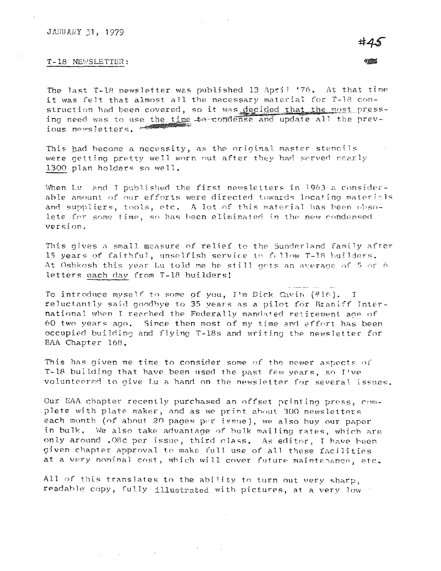## JANUARY 31, 1979

#### T-18 NEWSLETTER:

The last T-18 newsletter was published 13 April '76. At that time it was felt that almost all the necessary material for T-18 construction had been covered, so it was decided that the most pressing need was to use the time to condense and update all the previous newsletters.

This had become a necessity, as the original master stencils were getting pretty well worn out after they had served nearly 1300 plan holders so well.

When Lu and I published the first newsletters in 1963 a considerable amount of our efforts were directed towards locating materials and suppliers, tools, etc. A lot of this material has been obsolete for some time, so has been eliminated in the new condensed version.

This gives a small measure of relief to the Sunderland family after 15 years of faithful, unselfish service to fellow T-18 builders. At Oshkosh this year Lu told me he still gets an average of 5 or 6 letters each day from T-18 builders!

To introduce myself to some of you, J'm Dick Cavin (#16),  $\mathbf{I}$ reluctantly said goodbye to 35 years as a pilot for Braniff International when I reached the Federally mandated retirement age of 60 two years ago. Since then most of my time and effort has been occupied building and flying T-18s and writing the newsletter for EAA Chapter 168.

This has given me time to consider some of the newer aspects of T-18 building that have been used the past few years, so I've volunteered to give Lu a hand on the newsletter for several issues.

Our EAA chapter recently purchased an offset printing press, complete with plate maker, and as we print about 300 newsletters each month (of about 20 pages per issue), we also buy our paper in bulk. We also take advantage of bulk mailing rates, which are only around .08¢ per issue, third class. As editor, I have been given chapter approval to make full use of all these facilities at a very nominal cost, which will cover future maintenance, etc.

All of this translates to the ability to turn out very sharp, readable copy, fully illustrated with pictures, at a very low

 $\sim 10^{-10}$  km  $^{-1}$ 

 $\label{eq:2.1} \frac{1}{\sqrt{2\pi}}\int_{\mathbb{R}^{2}}\frac{d\mu}{\sqrt{2\pi}}\left(\frac{d\mu}{\mu}\right)^{2\alpha} \frac{d\mu}{\sqrt{2\pi}}\int_{\mathbb{R}^{2}}\frac{d\mu}{\sqrt{2\pi}}\int_{\mathbb{R}^{2}}\frac{d\mu}{\sqrt{2\pi}}\frac{d\mu}{\sqrt{2\pi}}\int_{\mathbb{R}^{2}}\frac{d\mu}{\sqrt{2\pi}}\frac{d\mu}{\sqrt{2\pi}}\frac{d\mu}{\sqrt{2\pi}}\frac{d\mu}{\sqrt{2\pi}}\frac{d\mu$ 

 $\sim 10^6$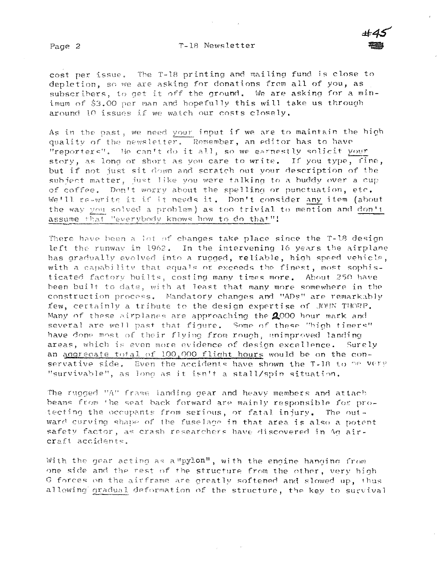#### T-18 Newsletter

cost per issue. The T-18 printing and mailing fund is close to depletion, so we are asking for donations from all of you, as subscribers, to get it off the ground. We are asking for a minimum of \$3.00 per man and hopefully this will take us through around 10 issues if we watch our costs closely.

As in the past, we need your input if we are to maintain the high quality of the newsletter. Remember, an editor has to have "reporters". He can't do it all, so we earnestly solicit your story, as long or short as you care to write. If you type, fine, but if not just sit down and scratch out your description of the subject matter, just like you were talking to a buddy over a cup of coffee. Don't worry about the spelling or punctuation, etc. We'll re-write it if it needs it. Don't consider any item (about the way you solved a problem) as too trivial to mention and don't assume that "everybody knows how to do that"!

There have been a lot of changes take place since the T-18 design left the runway in 1962. In the intervening 16 years the airplane has gradually evolved into a rugged, reliable, high speed vehicle, with a capability that equals or exceeds the finest, most sophisticated factory builts, costing many times more. About 250 have been built to date, with at least that many more somewhere in the construction process. Mandatory changes and "ADs" are remarkably few, certainly a tribute to the design expertise of JOHN THORP. Many of these airplanes are approaching the 2000 hour mark and several are well past that figure. Some of these "bigh timers" have done most of their flying from rough, unimproved landing areas, which is even more evidence of design excellence.  $S$ urely an addresste total of 100,000 flight hours would be on the conservative side. Even the accidents have shown the T-18 to be very "survivable", as long as it isn't a stall/spin situation.

The rugged "A" frame landing gear and heavy members and attach beams from the seat back forward are mainly responsible for protecting the occupants from serious, or fatal injury. The outward curving shape of the fuselage in that area is also a potent safety factor, as crash researchers have discovered in Ad aircraft accidents.

With the gear acting as a "pylon", with the engine hanging from one side and the rest of the structure from the other, very high G forces on the airframe are greatly softened and slowed up, thus allowing gradual deformation of the structure, the key to survival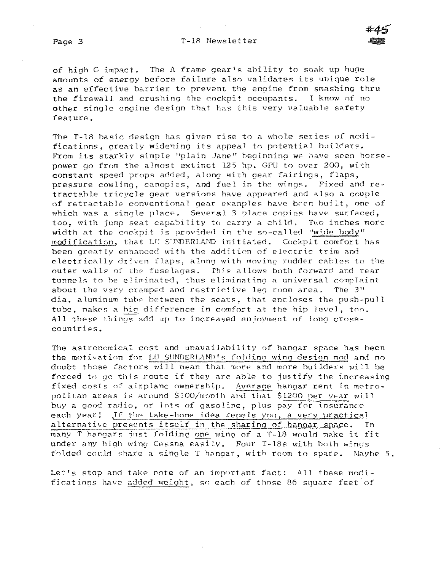

of high G impact. The A frame gear's ability to soak up huge amounts of energy before failure also validates its unique role as an effective barrier to prevent the engine from smashing thru the firewall and crushing the cockpit occupants. T know of no other single engine design that has this very valuable safety feature.

The T-18 basic design has given rise to a whole series of modifications, greatly widening its appeal to potential builders. From its starkly simple "plain Jane" beginning we have seen horsepower go from the almost extinct 125 hp. GPU to over 200, with constant speed props added, along with gear fairings, flaps, pressure cowling, canopies, and fuel in the wings. Fixed and retractable tricycle gear versions have appeared and also a couple of retractable conventional gear examples have been built, one of which was a single place. Several 3 place copies have surfaced, too, with jump seat capability to carry a child. Two inches more width at the cockpit is provided in the so-called "wide body" modification, that LU SUNDERLAND initiated. Cockpit comfort has been greatly enhanced with the addition of electric trim and electrically driven flaps, along with moving rudder cables to the outer walls of the fuselages. This allows both forward and rear **tunnels to be eliminated, thus eliminating a universal complaint** about the very cramped and restrictive leg room area. The 3" dia. aluminum tube between the seats, that encloses the push-pull tube, makes a big difference in comfort at the hip level, too. All these things add up to increased enioyment of long crosscountries,

The astronomical cost and unavailability of hangar space has been the motivation for LU SUNDERLAND's folding wing design mod and no doubt those factors will mean that more and more builders will be forced to go this route if they are able to justify the increasing fixed costs of airplane ownership. Average hangar rent in metropolitan areas is around \$100/month and that \$1200 per year will buy a good radio, or lots of gasoline, plus pay for insurance each year! ,If the take-home idea repels you, a very practical alternative presents itself in the sharing of hangar space. In many T hangars just folding one wing of a T-18 would make it fit under any high wing Cessna easily. Four T-18s with both wings folded could share a single T hangar, with room to spare. Maybe  $5$ .

Let's stop and take note of an important fact: All these modifications have added weight, so each of those 86 square feet of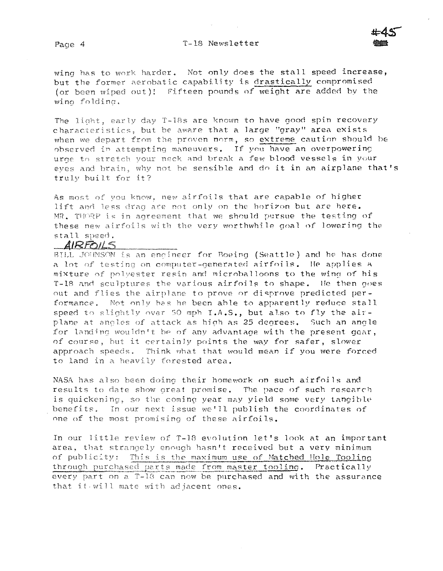#### T-18 Newsletter

wing has to work harder. Not only does the stall speed increase, but the former aerobatic capability is drastically compromised (or been wiped out)! Fifteen pounds of weight are added by the wing folding.

The light, early day T-18s are known to have good spin recovery characteristics, but be aware that a large "gray" area exists when we depart from the proven norm, so extreme caution should be observed in attempting maneuvers. If you have an overpowering urge to stretch your neck and break a few blood vessels in your eyes and brain, why not be sensible and do it in an airplane that's truly built for it?

As most of you know, new airfoils that are capable of higher lift and less drag are not only on the horizon but are here. MR. THORP is in agreement that we should pursue the testing of these new airfoils with the very worthwhile goal of lowering the stall speed.

## AIRFOILS

BILL JOHNSON is an engineer for Boeing (Seattle) and he has done a lot of testing on computer-generated airfoils. He applies a mixture of polyester resin and microballoons to the wing of his T-18 and sculptures the various airfoils to shape. He then goes out and flies the airplane to prove or disprove predicted performance. Not only has he been able to apparently reduce stall speed to slightly over 50 mph I.A.S., but also to fly the airplane at angles of attack as high as 25 degrees. Such an angle for landing wouldn't be of any advantage with the present gear, of course, but it certainly points the way for safer, slower approach speeds. Think what that would mean if you were forced to land in a heavily forested area.

NASA has also been doing their homework on such airfoils and results to date show great promise. The pace of such research is quickening, so the coming year may yield some very tangible benefits. In our next issue we'll publish the coordinates of one of the most promising of these airfoils.

In our little review of T-18 evolution let's look at an important area, that strangely enough hasn't received but a very minimum of publicity: This is the maximum use of Matched Hole Tooling through purchased parts made from master tooling. Practically every part on a T-18 can now be purchased and with the assurance that it will mate with adjacent ones.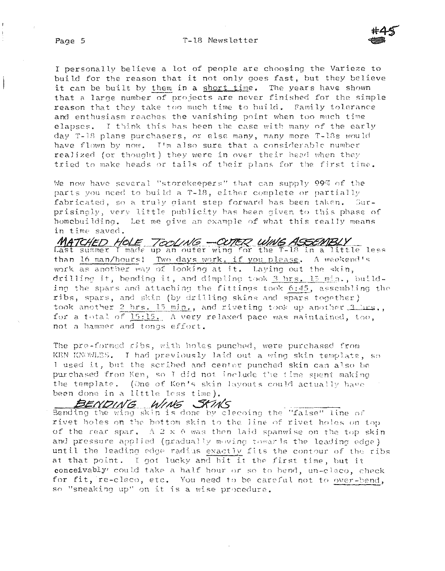

I personally believe a lot of people are choosing the Varieze to build for the reason that it not only goes fast, but they believe it can be built by them in a short time. The years have shown that a large number of projects are never finished for the simple reason that they take too much time to build. Family tolerance and enthusiasm reaches the vanishing point when too much time elapses. I think this has been the case with many of the early day T-18 plans purchasers, or else many, many more T-18s would have flown by now. I'm also sure that a considerable number realized (or thought) they were in over their head when they tried to make heads or tails of their plans for the first time.

We now have several "storekeepers" that can supply 99% of the parts you need to build a T-18, either complete or partially fabricated, so a truly giant step forward has been taken. - Sur – prisingly, very little publicity has been given to this phase of homebuilding. Let me give an example of what this really means in time saved.

MATCHED HOLE TOOLING - CUTER WING ASSEMBLY<br>Last summer I made up an outer wing for the T-18 in a little less than 16 man/hours! Two days work, if you please. A weekend's work as another way of looking at it. Laying out the skin, drilling it, bending it, and dimpling took 3 hrs. 13 min., building the spars and attaching the fittings took 6:45, assembling the ribs, spars, and skin (by drilling skins and spars together) took another 2 hrs. I5 min., and riveting took up another 3 hrs., for a total of 15:15. A very relaxed pace was maintained, too, not a hammer and tongs effort.

The pre-formed ribs, with holes punched, were purchased from KEN KNOWLES. I had previously laid out a wing skin template, so I used it, but the scribed and centar punched skin can also be purchased from Ken, so I did not include the time spent making the template. (One of Ken's skin layouts could actually have been done in a little less time).

## BENDING WING SKINS

Bending the wing skin is done by clecoing the "false" line of rivet holes on the bottom skin to the line of rivet holes on top of the rear spar. A 2 x 6 was then laid spanwise on the top skin and pressure applied (gradually moving towards the leading edge) until the leading edge radius exactly fits the contour of the ribs at that point. I got lucky and hit it the first time, but it conceivably could take a half hour or so to bend, un-cleco, check for fit, re-cleco, etc. You need to be careful not to over-bend, so "sneaking up" on it is a wise procedure.

Page 5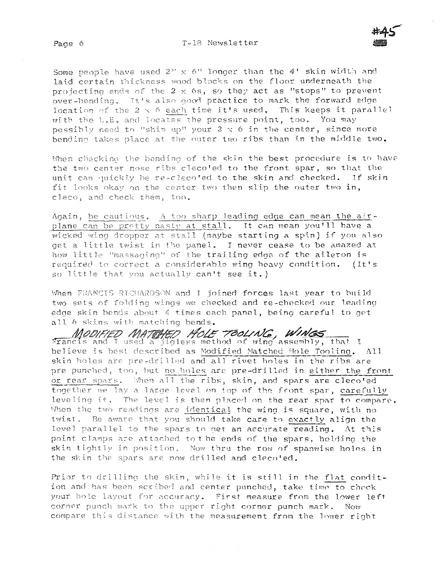#### T-18 Newsletter

Some people have used  $2^n \times 6^n$  longer than the 4' skin width and laid certain thickness wood blocks on the floor underneath the projecting ends of the 2 x 6s, so they act as "stops" to prevent over-bending. It's also good practice to mark the forward edge location of the 2 x 6 each time it's used. This keeps it parallel with the L.E. and locates the pressure point, too. You may possibly need to "shim up" your  $2 \times 6$  in the center, since more bending takes place at the outer two ribs than in the middle two.

When checking the bending of the skin the best procedure is to have the two center nose ribs cleco'ed to the front spar, so that the unit can quickly be re-clecofed to the skin and checked. If skin fit looks okay on the center two then slip the outer two in, cleco, and check them, too.

Again, be cautious. A too sharp leading edge can mean the airplane can be pretty nasty at stall. It can mean you'll have a wicked wing dropper at stall (maybe starting a spin) if you also get a little twist in the panel. I never cease to be amazed at how little "massaging" of the trailing edge of the aileron is required to correct a considerable wing heavy condition. (It's so little that you actually can't see it.)

When FRANCIS RICHARDSON and I joined forces last year to build two sets of folding wings we checked and re-checked our leading edge skin bends about 4 times each panel, being careful to get all 6 skins with matching bends.

MODIFIED MATRIED MOLE TOOLING, WINGS believe is best described as Modified Matched Hole Tooling. All skin holes are pre-drilled and all rivet holes in the ribs are pre punched, too, but no holes are pre-drilled in either the front or rear spars. When all the ribs, skin, and spars are cleco'ed together we lay a large level on top of the front spar, carefully leveling it. The level is then placed on the rear spar to compare. When the two readings are identical the wing is square, with no twist. Be aware that you should take care to exactly align the level parallel to the spars to get an accurate reading. At this point clamps are attached to the ends of the spars, holding the skin tightly in position. Now thru the row of spanwise holes in the skin the spars are now drilled and cleco'ed.

Prior to drilling the skin, while it is still in the flat condition and has been scribed and center punched, take time to check your hole layout for accuracy. First measure from the lower left corner punch mark to the upper right corner punch mark. Now compare this distance with the measurement from the lower right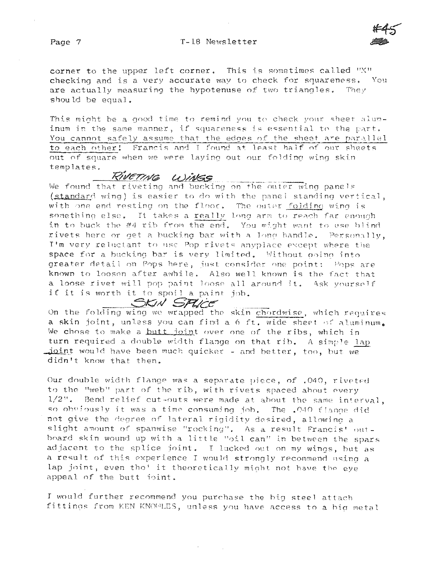



corner to the upper left corner. This is sometimes called "X" checking and is a very accurate way to check for squareness. You are actually measuring the hypotenuse of two triangles. They should be equal.

This might be a good time to remind you to check your sheet aluminum in the same manner, if squareness is essential to the part. You cannot safely assume that the edges of the sheet are parallel to each other! Francis and I found at least half of our sheets out of square when we were laving out our folding wing skin templates.

#### RIVETING WINGS

We found that riveting and bucking on the outer wing panels (standard wing) is easier to do with the panel standing vertical, with one end resting on the floor. The outer folding wing is something else. It takes a really long arm to reach far enough in to buck the #4 rib from the end. You might want to use blind rivets here or get a bucking bar with a long handle. Personally, I'm very reluctant to use Pop rivets anyplace except where the space for a bucking bar is very limited. Without oping into greater detail on Pops here, just consider one point: Pops are known to loosen after awhile. Also well known is the fact that a loose rivet will pop paint loose all around it. Ask vourself if it is worth it to spoil a paint job.

SKIN SPLICE On the folding wing we wrapped the skin chordwise, which requires a skin joint, unless you can find a 6 ft. wide sheet of aluminum. We chose to make a butt joint over one of the ribs, which in turn required a double width flange on that rib. A simple lap joint would have been much quicker - and better, too, but we didn't know that then.

Our double width flange was a separate piece, of .040, riveted to the "web" part of the rib, with rivets spaced about every 1/2". Bend relief cut-outs were made at about the same interval, so obviously it was a time consuming job. The .040 flange did not give the degree of lateral rigidity desired, allowing a slight amount of spanwise "rocking". As a result Francis' outboard skin wound up with a little "oil can" in between the spars adjacent to the splice joint. I lucked out on my wings, but as a result of this experience I would strongly recommend using a lap joint, even tho' it theoretically might not have the eye appeal of the butt joint.

I would further recommend you purchase the big steel attach fittings from KEN KNOWLES, unless you have access to a big metal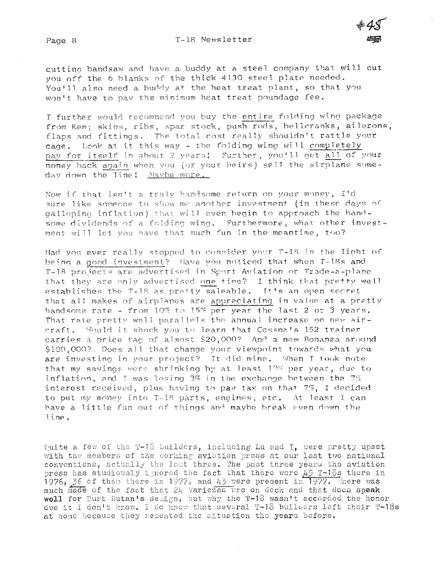cutting bandsaw and have a buddy at a steel company that will cut you off the 6 blanks of the thick 4130 steel plate needed. You'll also need a buddy at the heat treat plant, so that you won't have to pay the minimum heat treat poundage fee.

I further would recommend you buy the entire folding wing package from Ken; skins, ribs, spar stock, push rods, bellcranks, ailerons, flaps and fittings. The total cost really shouldn't rattle your cage. Look at it this way - the folding wing will completely pay for itself in about 2 years! Further, you'll get all of your money back again when you (or your heirs) sell the airplane someday down the line! Maybe more.

Now if that isn't a truly handsome return on your money, I'd sure like someone to show me another investment (in these days of galloping inflation) that will even begin to approach the handsome dividends of a folding wing. Furthermore, what other investment will let you have that much fun in the meantime, too?

Had you ever really stopped to consider your T-18 in the light of being a good investment? Have you noticed that when T-18s and T-18 projects are advertised in Sport Aviation or Trade-a-plane that they are only advertised one time? I think that pretty well establishes the T-18 as pretty saleable. It's an open secret that all makes of airplanes are appreciating in value at a pretty handsome rate - from 10% to 15% per year the last 2 or 3 years. That rate pretty well parallels the annual increase on new aircraft. Would it shock you to learn that Cessna's 152 trainer carries a price tag of almost \$20,000? And a new Bonanza around \$100,000? Does all that change your viewpoint towards what you are investing in your project? It did mine. When I took note that my savings were shrinking by at least 10% per year, due to inflation, and I was losing 3% in the exchange between the 7% interest received, plus having to pay tax on that 7%, I decided to put my money into T-18 parts, encines, etc. At least I can have a little fun out of things and maybe break even down the line.

Quite a few of the T-18 builders, including Lu and I, were pretty upset with the members of the working aviation press at our last two national conventions, actually the last three. The past three years the aviation<br>press has studiously ignored the fact that there were  $\underline{A5}$  T-18s there in 1976, 36 of them there in 1977, and  $43$  were present in 1977. There was much made of the fact that 24 Variezes wre on deck and that does speak well for Burt Rutan's design, but why the T-18 wasn't accorded the honor due it I don't know. I do know that several T-18 builders left their T-18s at home because they resented the situation the years before.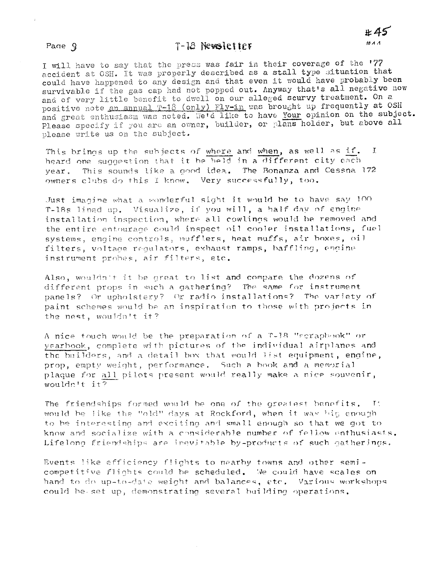## T-18 Newsletter

I will have to say that the press was fair in their coverage of the '77 accident at OSH. It was properly described as a stall type situation that could have happened to any design and that even it would have probably been survivable if the gas cap had not popped out. Anyway that's all negative now and of very little benefit to dwell on our alleged scurvy treatment. On a positive note an annual T-18 (only) Fly-in was brought up frequently at OSH and great enthusiasm was noted. We'd like to have Your opinion on the subject. Please specify if you are an owner, builder, or plans holder, but above all please write us on the subject.

This brings up the subjects of where and when, as well as if.  $\mathbf{I}$ heard one suggestion that it be held in a different city each This sounds like a good idea. The Bonanza and Cessna 172 year. owners clubs do this I know. Very successfully, too.

Just imagine what a wonderful sight it would be to have say 100 T-18s lined up. Visualize, if you will, a half day of engine installation inspection, where all cowlings would be removed and the entire entourage could inspect oil cooler installations, fuel systems, engine controls, mufflers, heat muffs, air boxes, oil filters, voltage regulators, exhaust ramps, baffling, engine instrument probes, air filters, etc.

Also, wouldn't it be great to list and compare the dozens of different props in such a gathering? The same for instrument panels? Or upholstery? Or radio installations? The variety of paint schemes would be an inspiration to those with projects in the nest, wouldn't it?

A nice fouch would be the preparation of a T-18 "scrapbook" or yearbook, complete with pictures of the individual airplanes and the builders, and a detail box that would list equipment, engine, prop, empty weight, performance. Such a book and a memorial plaque for all pilots present would really make a nice souvenir, wouldn't it?

The friendships formed would be one of the greatest benefits. It would be like the "old" days at Rockford, when it was big enough to be interesting and exciting and small enough so that we got to know and socialize with a considerable number of fellow enthusiasts. Lifelong friendships are inevitable by-products of such gatherings.

Events like efficiency flights to nearby towns and other semicompetitive flights could be scheduled. We could have scales on hand to do up-to-date weight and balances, etc. Various workshops could be set up, demonstrating several building operations.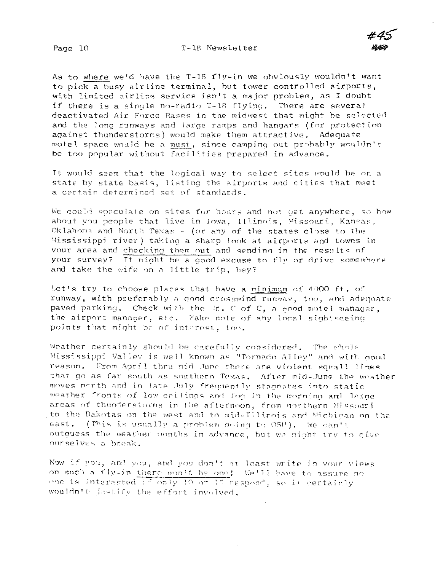#### T-18 Newsletter

As to where we'd have the T-18 fly-in we obviously wouldn't want to pick a busy airline terminal, but tower controlled airports, with limited airline service isn't a major problem, as I doubt if there is a single no-radio T-18 flying. There are several deactivated Air Force Bases in the midwest that might be selected and the long runways and large ramps and hangars (for protection against thunderstorms) would make them attractive. Adequate motel space would be a must, since camping out probably wouldn't be too popular without facilities prepared in advance.

It would seem that the logical way to select sites would be on a state by state basis, listing the airports and cities that meet a certain determined set of standards.

We could speculate on sites for hours and not get anywhere, so how about you people that live in Iowa, Illinois, Missouri, Kansas, Oklahoma and North Texas - (or any of the states close to the Mississippi river) taking a sharp look at airports and towns in your area and checking them out and sending in the results of your survey? It might be a good excuse to fly or drive somewhere and take the wife on a little trip, hey?

Let's try to choose places that have a minimum of 4000 ft. of runway, with preferably a good crosswind runway, too, and adequate paved parking. Check with the  $Jr$ . C of C, a good motel manager, the airport manager, etc. Make note of any local sight seeing points that might be of interest, too.

Weather certainly should be carefully considered. The whole Mississippi Valley is well known as "Tornado Alley" and with good reason. From April thru mid June there are violent squall lines that go as far south as southern Texas. After mid-June the weather moves north and in late July frequently stagnates into static weather fronts of low ceilings and fog in the morning and large areas of thunderstorms in the afternoon, from northern Missouri to the Dakotas on the west and to mid-Illinois and Michican on the east. (This is usually a problem oping to OSH). We can't outguess the weather months in advance, but we might try to give ourselves a break.

Now if you, and you, and you don't at least write in your views on such a fly-in there won't be one! We'll have to assume no one is interested if only 10 or 15 respond, so it certainly wouldn't justify the effort involved.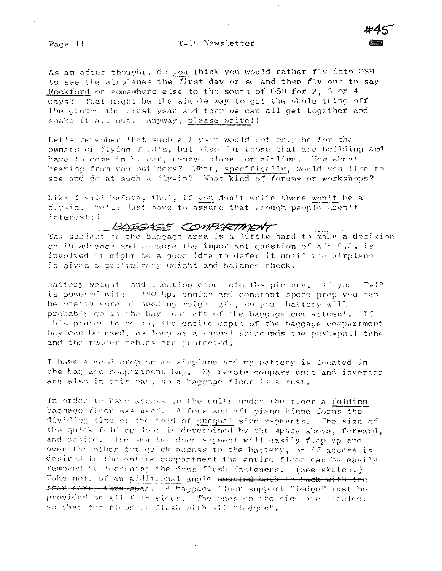## T-18 Newsletter

As an after thought, do you think you would rather fly into OSH to see the airplanes the first day or so and then fly out to say Rockford or somewhere else to the south of OSH for 2, 3 or 4 davs? That might be the simple way to get the whole thing off the ground the first year and then we can all get together and shake it all out. Anyway, please write!!

Let's remember that such a fly-in would not only be for the owners of flying T-18's, but also for those that are building and have to come in by car, rented plane, or airline. How about hearing from you builders? What, specifically, would you like to see and do at such a fly-in? What kind of forums or workshops?

Like I said before, that, if you don't write there won't be a fly-in. We'll just have to assume that enough people aren't interested.

## BASSAGE COMPARTMENT

The subject of the baggage area is a little hard to make a decision on in advance and because the important question of aft C.G. is involved it might be a good idea to defer it until the airplane is given a proliminary weight and balance check.

Battery weight and location come into the picture. If your T-18 is powered with a 180 hp. engine and constant speed prop you can be pretty sure of needing weight aft, so your battery will probably go in the bay just aft of the bacquage compartment.  $Tf$ this proves to be so, the entire depth of the baggage compartment bay can be used, as long as a tunnel surrounds the push-pull tube and the rudder cables are protected.

I have a wood prop on my airplane and my battery is located in the baggage compartment bay. My remote compass unit and inverter are also in this bay, so a haggage floor is a must.

In order to have access to the units under the floor a folding baggage floor was used. A fore and aft piano hinge forms the dividing line of the fold of unequal size segments. The size of the quick fold-up door is determined by the space above, forward, and behind. The smaller door segment will easily flop up and over the other for quick access to the battery, or if access is desired in the entire compartment the entire floor can be easily removed by loosening the dzus flush fasteners. (See sketch.) Take note of an additional angle mounted back to back with the rear carry thru apar. A haggage floor support "ledge" must be provided on all four sides. The ones on the side are joggled, so that the floor is flush with all "ledges".

 $\sim$   $\sim$ 

#### Page 11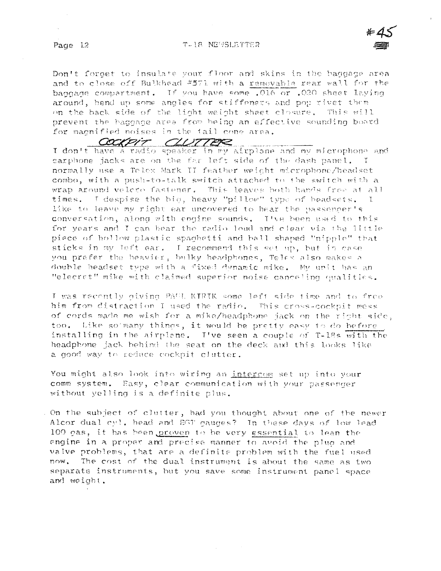#### T-18 NEWSLETTER

Don't forget to insulate your floor and skins in the baggage area and to close off Bulkhead #571 with a removable rear wall for the baggage compartment. If you have some .016 or .020 sheet laying around, bend up some angles for stiffeners and pop rivet them on the back side of the light weight sheet closure. This will prevent the baggage area from heing an effective sounding board for magnified noises in the tail cone area.

COCKPIT CLUTTER

I don't have a radio speaker in my airplane and my microphone and earphone jacks are on the far left side of the dash panel. normally use a Telex Mark II feather weight microphone/headset combo, with a push-to-talk switch attached to the switch with a wrap around veloro fastener. This leaves both hands free at all times. I despise the bio, heavy "pillow" type of headsets.  $\mathbf{T}$ like to leave my right ear uncovered to hear the passencer's conversation, along with engine sounds. It ve been used to this for years and I can bear the radio loud and clear via the little piece of hollow plastic spaghetti and ball shaped "nipple" that sticks in my left ear. I recommend this set up, but in case you prefer the heavier, bulky headphones, Telex also makes a double headset type with a fixed dynamic mike. My unit has an "elecret" mike with claimed superior noise canceling qualities.

I was recently oiving PAUL KIRIK some left side time and to free him from distraction I used the radio. This cross-cockpit mess of cords made me wish for a mike/headphone jack on the right side. too. Like so'many things, it would be pretty easy to do before installing in the airplane. I've seen a couple of T-18s with the headphone jack behind the seat on the deck and this looks like a good way to reduce cockpit clutter.

You might also look into wiring an intercom set up into your comm system. Easy, clear communication with your passepoer without yelling is a definite plus.

On the subject of clutter, had you thought about one of the newer Alcor dual cyl, head and EGT gauges? In these days of low lead 100 gas, it has been proven to be very essential to lean the engine in a proper and precise manner to avoid the plug and valve problems, that are a definite problem with the fuel used now. The cost of the dual instrument is about the same as two separate instruments, but you save some instrument panel space and weight.

 $\mathcal{A}^{\mathcal{A}}$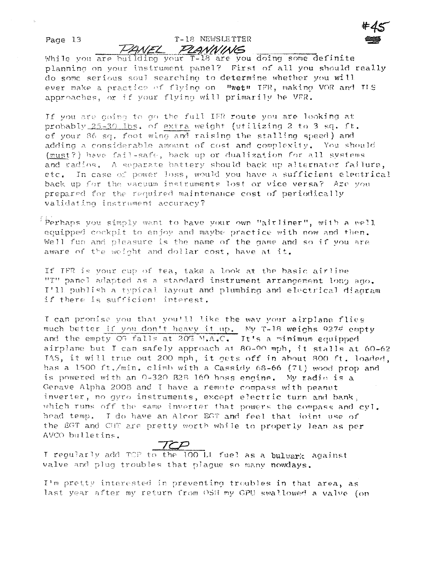## T-18 NEWSLETTER FLANNING

DANEL While you are building your T-18 are you doing some definite planning on your instrument panel? First of all you should really do some serious soul searching to determine whether you will ever make a practice of flying on "wet" IFR, making VOR and ILS approaches, or if your flying will primarily be VFR.

If you are doing to do the full IFR route you are looking at probably 25-30 lbs. of extra weight (utilizing 2 to 3 sq. ft. of your 86 sq. foot wing and raising the stalling speed) and adding a considerable amount of cost and complexity. You should (must?) have fail-safe, back up or dualization for all systems and radios. A separate battery should back up alternator failure, In case of power loss, would you have a sufficient electrical  $etc.$ back up for the vacuum instruments lost or vice versa? Are you prepared for the required maintenance cost of periodically validating instrument accuracy?

 $^{\rm 1}$  Perhaps vou simply want to have your own "airliner", with a well equipped cockpit to enjoy and maybe practice with now and then. Well fun and pleasure is the name of the game and so if you are aware of the weight and dollar cost, have at it.

If IFR is your cup of tea, take a look at the basic airline "T" panel adapted as a standard instrument arrangement long ago. I'll publish a typical layout and plumbing and electrical diagram if there is sufficient interest.

I can promise you that you'll like the way your airplane flies much better if you don't heavy it up. My T-18 weighs 927# empty and the empty CG falls at 20% M.A.C. It's a minimum equipped airplane but I can safely approach at 80-90 mph, it stalls at 60-62 TAS, it will true out 200 mph, it gets off in about 800 ft. loaded, has a 1500 ft./min. climb with a Cassidy 68-66 (71) wood prop and is powered with an 0-320 B2B 160 hoss engine. My radio is a Genave Alpha 200B and I have a remote compass with peanut inverter, no gyro instruments, except electric turn and bank, which runs off the same inverter that powers the compass and cyl. head temp. I do have an Alcor EGT and feel that joint use of the BGT and CHT are pretty worth while to properly lean as per AVCO bulletins.

T regularly add TCP to the 100 LL fuel as a bulwark against valve and plug troubles that plague so many nowdays.

I'm pretty interested in preventing troubles in that area, as last year after my return from OSH my GPU swallowed a valve (on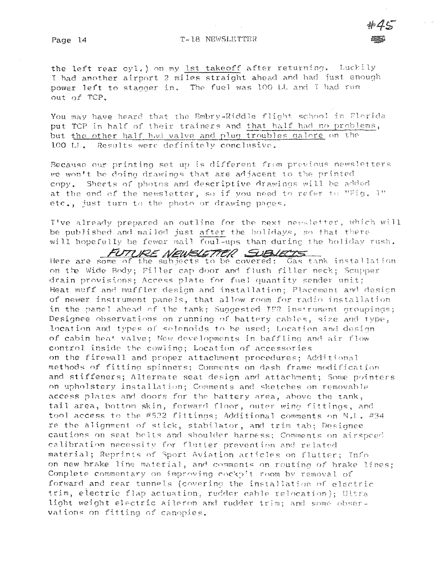#### T-18 NEWSLETTER

the left rear cyl.) on my lst takeoff after returning. Luckily I had another airport 2 miles straight ahead and had just enough power left to stagger in. The fuel was 100 LL and I had run out of TCP.

You may have heard that the Embry-Riddle flight school in Florida put TCP in half of their trainers and that half had no problems, but the other half had valve and plug troubles galore on the 100 LL. Results were definitely conclusive.

Because our printing set up is different from previous newsletters we won't be doing drawings that are adjacent to the printed copy. Sheets of photos and descriptive drawings will be added at the end of the newsletter, so if you need to refer to "Fig. 1" etc., just turn to the photo or drawing pages.

I've already prepared an outline for the next newsletter, which will be published and mailed just after the holidays, so that there will hopefully be fewer mail foul-ups than during the holiday rush.

Here are some of the subjects to be covered: Gas tank installation on the Wide Body; Filler cap door and flush filler neck; Scupper drain provisions; Access plate for fuel quantity sender unit; Heat muff and muffler design and installation; Placement and design of newer instrument panels, that allow room for radio installation in the panel ahead of the tank; Suggested IFR instrument groupings; Designee observations on running of battery cables, size and type, location and types of solenoids to be used; Location and design of cabin heat valve; New developments in baffling and air flow control inside the cowling; Location of accessories on the firewall and proper attachment procedures; Additional methods of fitting spinners; Comments on dash frame modification and stiffeners; Alternate seat design and attachment; Some pointers on upholstery installation; Comments and sketches on removable access plates and doors for the battery area, above the tank, tail area, bottom skin, forward floor, outer wing fittings, and tool access to the #522 fittings; Additional comments on N.L. #34 re the alignment of stick, stabilator, and trim tab; Designee cautions on seat belts and shoulder harness; Comments on airspeed calibration necessity for flutter prevention and related material; Reprints of Sport Aviation acticles on flutter; Info on new brake line material, and comments on routing of brake lines; Complete commentary on improving cockpit room by removal of forward and rear tunnels (covering the installation of electric trim, electric flap actuation, rudder cable relocation); Ultra light weight electric aileron and rudder trim; and some observations on fitting of canopies.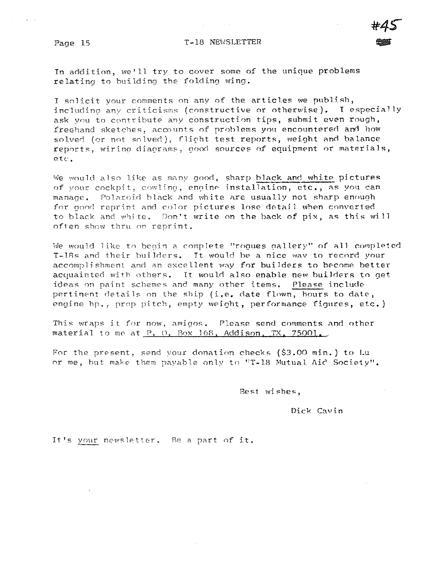$\gamma$  ,  $\gamma$  ,  $\gamma$ 

In addition, we'll try to cover some of the unique problems relating to building the folding wing.

I solicit your comments on any of the articles we publish, including any criticisms (constructive or otherwise). T especially ask you to contribute any construction tips, submit even rough, freehand sketches, accounts of problems you encountered and how solved (or not solved), flight test reports, weight and balance reports, wiring diagrams, good sources of equipment or materials, etc.

We would also like as many good, sharp black and white pictures of vour cockpit, cowling, engine installation, etc., as you can manage. Polaroid black and white are usually not sharp enough for dood reprint and color pictures lose detail when converted to black and white. Don't write on the back of  $pix$ , as this will often show thru on reprint.

We would like to begin a complete "roques gallery" of all completed T-1Rs and their builders. It would be a nice wav to recnrd your accomplishment and an excellent way for builders to become better acquainted with others. It would also enable new builders to get ideas on paint schemes and many other items. Please include pertinent details on the ship (i.e. date flown, hours to date, engine  $hp$ ,, prop pitch, empty weight, performance figures, etc.)

This wraps it for now, amigos. Please send comments and other material to me at P. O. Box 168, Addison, TX, 75001.

For the present, send your donation checks  $(§3.00 min.)$  to Lu or me, but make them payable only to  $T-18$  Mutual Aid Society".

Best wishes,

Dick Cavin

It's your newsletter. Be a part of it.